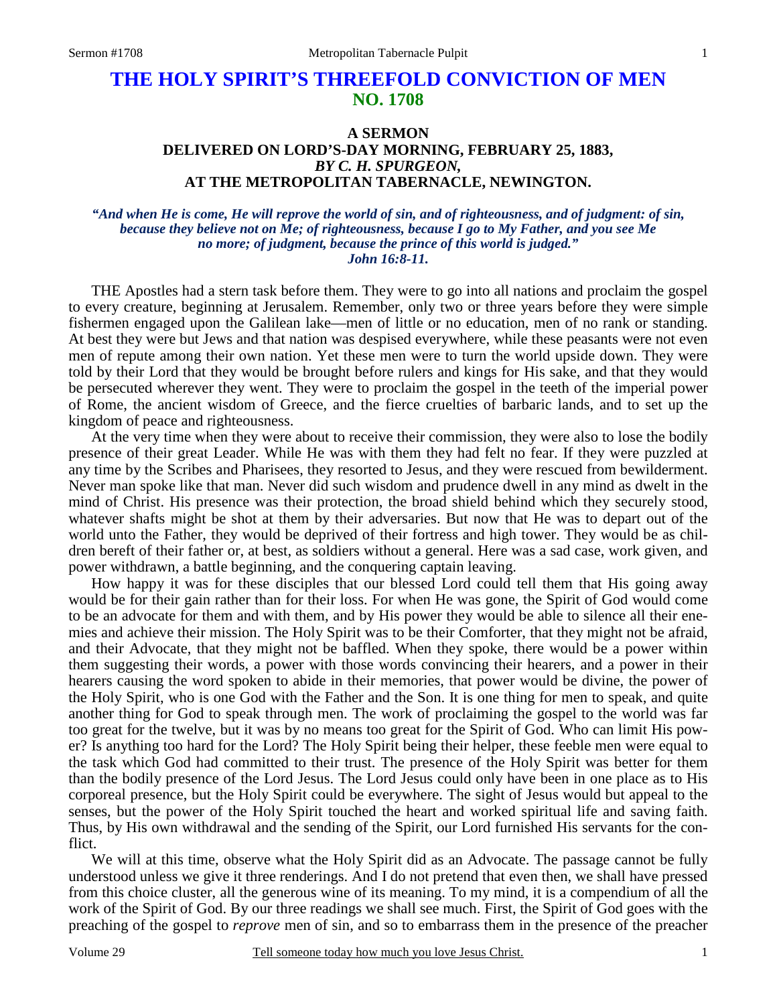# **THE HOLY SPIRIT'S THREEFOLD CONVICTION OF MEN NO. 1708**

## **A SERMON DELIVERED ON LORD'S-DAY MORNING, FEBRUARY 25, 1883,** *BY C. H. SPURGEON,*  **AT THE METROPOLITAN TABERNACLE, NEWINGTON.**

### *"And when He is come, He will reprove the world of sin, and of righteousness, and of judgment: of sin, because they believe not on Me; of righteousness, because I go to My Father, and you see Me no more; of judgment, because the prince of this world is judged." John 16:8-11.*

THE Apostles had a stern task before them. They were to go into all nations and proclaim the gospel to every creature, beginning at Jerusalem. Remember, only two or three years before they were simple fishermen engaged upon the Galilean lake—men of little or no education, men of no rank or standing. At best they were but Jews and that nation was despised everywhere, while these peasants were not even men of repute among their own nation. Yet these men were to turn the world upside down. They were told by their Lord that they would be brought before rulers and kings for His sake, and that they would be persecuted wherever they went. They were to proclaim the gospel in the teeth of the imperial power of Rome, the ancient wisdom of Greece, and the fierce cruelties of barbaric lands, and to set up the kingdom of peace and righteousness.

 At the very time when they were about to receive their commission, they were also to lose the bodily presence of their great Leader. While He was with them they had felt no fear. If they were puzzled at any time by the Scribes and Pharisees, they resorted to Jesus, and they were rescued from bewilderment. Never man spoke like that man. Never did such wisdom and prudence dwell in any mind as dwelt in the mind of Christ. His presence was their protection, the broad shield behind which they securely stood, whatever shafts might be shot at them by their adversaries. But now that He was to depart out of the world unto the Father, they would be deprived of their fortress and high tower. They would be as children bereft of their father or, at best, as soldiers without a general. Here was a sad case, work given, and power withdrawn, a battle beginning, and the conquering captain leaving.

 How happy it was for these disciples that our blessed Lord could tell them that His going away would be for their gain rather than for their loss. For when He was gone, the Spirit of God would come to be an advocate for them and with them, and by His power they would be able to silence all their enemies and achieve their mission. The Holy Spirit was to be their Comforter, that they might not be afraid, and their Advocate, that they might not be baffled. When they spoke, there would be a power within them suggesting their words, a power with those words convincing their hearers, and a power in their hearers causing the word spoken to abide in their memories, that power would be divine, the power of the Holy Spirit, who is one God with the Father and the Son. It is one thing for men to speak, and quite another thing for God to speak through men. The work of proclaiming the gospel to the world was far too great for the twelve, but it was by no means too great for the Spirit of God. Who can limit His power? Is anything too hard for the Lord? The Holy Spirit being their helper, these feeble men were equal to the task which God had committed to their trust. The presence of the Holy Spirit was better for them than the bodily presence of the Lord Jesus. The Lord Jesus could only have been in one place as to His corporeal presence, but the Holy Spirit could be everywhere. The sight of Jesus would but appeal to the senses, but the power of the Holy Spirit touched the heart and worked spiritual life and saving faith. Thus, by His own withdrawal and the sending of the Spirit, our Lord furnished His servants for the conflict.

We will at this time, observe what the Holy Spirit did as an Advocate. The passage cannot be fully understood unless we give it three renderings. And I do not pretend that even then, we shall have pressed from this choice cluster, all the generous wine of its meaning. To my mind, it is a compendium of all the work of the Spirit of God. By our three readings we shall see much. First, the Spirit of God goes with the preaching of the gospel to *reprove* men of sin, and so to embarrass them in the presence of the preacher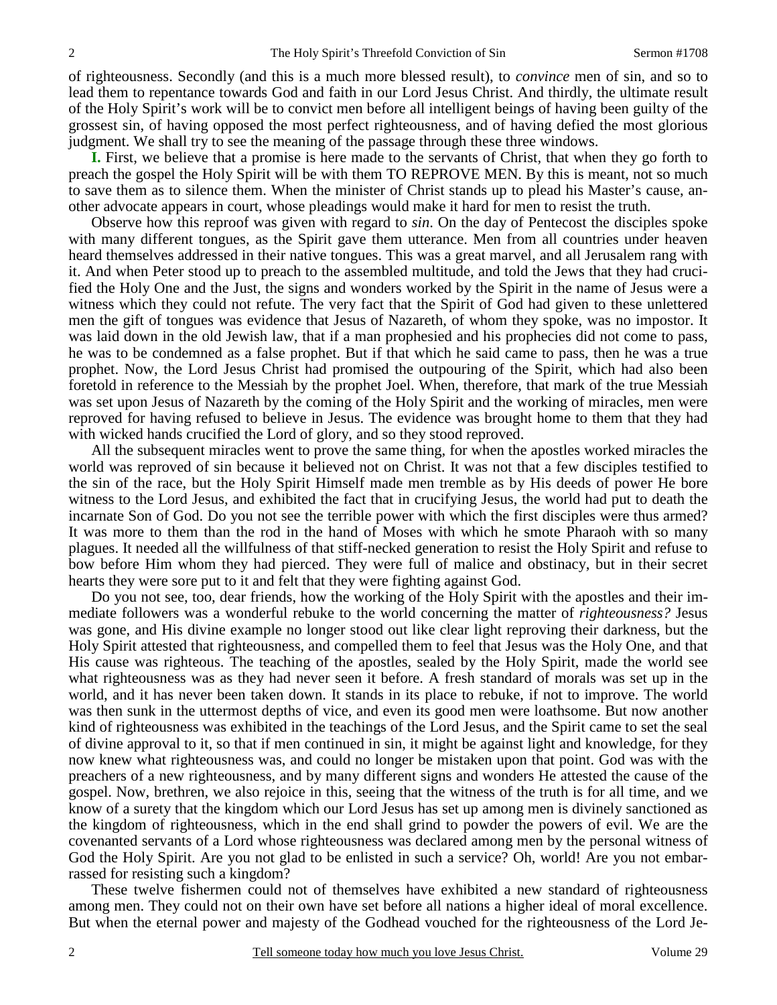of righteousness. Secondly (and this is a much more blessed result), to *convince* men of sin, and so to lead them to repentance towards God and faith in our Lord Jesus Christ. And thirdly, the ultimate result of the Holy Spirit's work will be to convict men before all intelligent beings of having been guilty of the grossest sin, of having opposed the most perfect righteousness, and of having defied the most glorious judgment. We shall try to see the meaning of the passage through these three windows.

**I.** First, we believe that a promise is here made to the servants of Christ, that when they go forth to preach the gospel the Holy Spirit will be with them TO REPROVE MEN. By this is meant, not so much to save them as to silence them. When the minister of Christ stands up to plead his Master's cause, another advocate appears in court, whose pleadings would make it hard for men to resist the truth.

 Observe how this reproof was given with regard to *sin*. On the day of Pentecost the disciples spoke with many different tongues, as the Spirit gave them utterance. Men from all countries under heaven heard themselves addressed in their native tongues. This was a great marvel, and all Jerusalem rang with it. And when Peter stood up to preach to the assembled multitude, and told the Jews that they had crucified the Holy One and the Just, the signs and wonders worked by the Spirit in the name of Jesus were a witness which they could not refute. The very fact that the Spirit of God had given to these unlettered men the gift of tongues was evidence that Jesus of Nazareth, of whom they spoke, was no impostor. It was laid down in the old Jewish law, that if a man prophesied and his prophecies did not come to pass, he was to be condemned as a false prophet. But if that which he said came to pass, then he was a true prophet. Now, the Lord Jesus Christ had promised the outpouring of the Spirit, which had also been foretold in reference to the Messiah by the prophet Joel. When, therefore, that mark of the true Messiah was set upon Jesus of Nazareth by the coming of the Holy Spirit and the working of miracles, men were reproved for having refused to believe in Jesus. The evidence was brought home to them that they had with wicked hands crucified the Lord of glory, and so they stood reproved.

 All the subsequent miracles went to prove the same thing, for when the apostles worked miracles the world was reproved of sin because it believed not on Christ. It was not that a few disciples testified to the sin of the race, but the Holy Spirit Himself made men tremble as by His deeds of power He bore witness to the Lord Jesus, and exhibited the fact that in crucifying Jesus, the world had put to death the incarnate Son of God. Do you not see the terrible power with which the first disciples were thus armed? It was more to them than the rod in the hand of Moses with which he smote Pharaoh with so many plagues. It needed all the willfulness of that stiff-necked generation to resist the Holy Spirit and refuse to bow before Him whom they had pierced. They were full of malice and obstinacy, but in their secret hearts they were sore put to it and felt that they were fighting against God.

 Do you not see, too, dear friends, how the working of the Holy Spirit with the apostles and their immediate followers was a wonderful rebuke to the world concerning the matter of *righteousness?* Jesus was gone, and His divine example no longer stood out like clear light reproving their darkness, but the Holy Spirit attested that righteousness, and compelled them to feel that Jesus was the Holy One, and that His cause was righteous. The teaching of the apostles, sealed by the Holy Spirit, made the world see what righteousness was as they had never seen it before. A fresh standard of morals was set up in the world, and it has never been taken down. It stands in its place to rebuke, if not to improve. The world was then sunk in the uttermost depths of vice, and even its good men were loathsome. But now another kind of righteousness was exhibited in the teachings of the Lord Jesus, and the Spirit came to set the seal of divine approval to it, so that if men continued in sin, it might be against light and knowledge, for they now knew what righteousness was, and could no longer be mistaken upon that point. God was with the preachers of a new righteousness, and by many different signs and wonders He attested the cause of the gospel. Now, brethren, we also rejoice in this, seeing that the witness of the truth is for all time, and we know of a surety that the kingdom which our Lord Jesus has set up among men is divinely sanctioned as the kingdom of righteousness, which in the end shall grind to powder the powers of evil. We are the covenanted servants of a Lord whose righteousness was declared among men by the personal witness of God the Holy Spirit. Are you not glad to be enlisted in such a service? Oh, world! Are you not embarrassed for resisting such a kingdom?

 These twelve fishermen could not of themselves have exhibited a new standard of righteousness among men. They could not on their own have set before all nations a higher ideal of moral excellence. But when the eternal power and majesty of the Godhead vouched for the righteousness of the Lord Je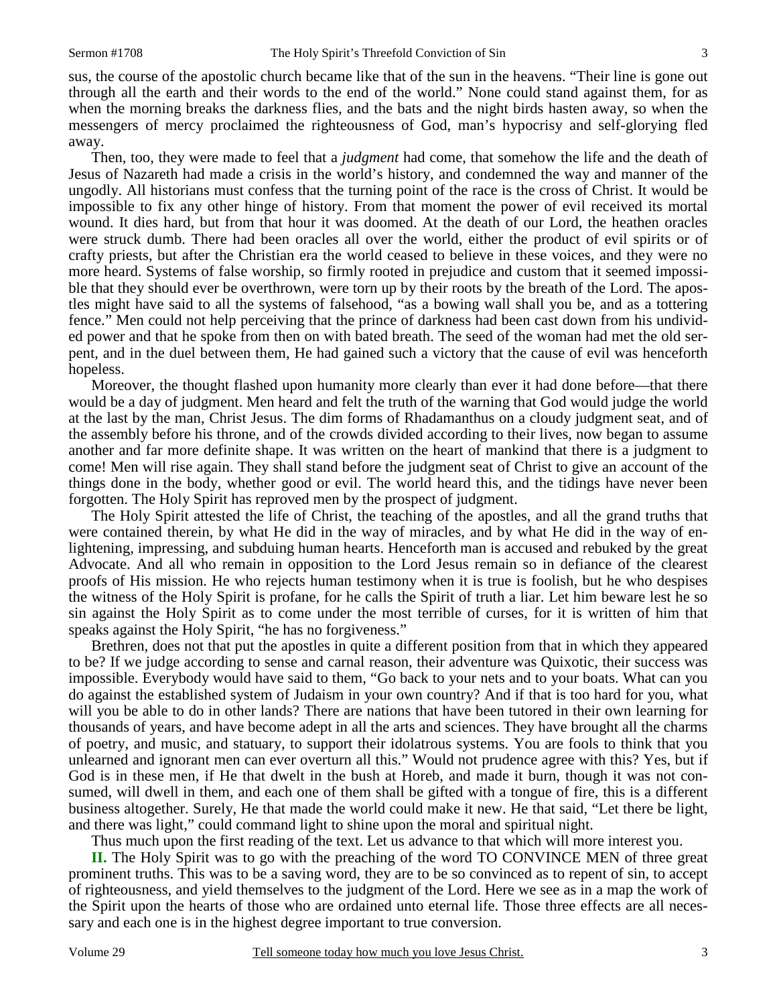sus, the course of the apostolic church became like that of the sun in the heavens. "Their line is gone out through all the earth and their words to the end of the world." None could stand against them, for as when the morning breaks the darkness flies, and the bats and the night birds hasten away, so when the messengers of mercy proclaimed the righteousness of God, man's hypocrisy and self-glorying fled away.

 Then, too, they were made to feel that a *judgment* had come, that somehow the life and the death of Jesus of Nazareth had made a crisis in the world's history, and condemned the way and manner of the ungodly. All historians must confess that the turning point of the race is the cross of Christ. It would be impossible to fix any other hinge of history. From that moment the power of evil received its mortal wound. It dies hard, but from that hour it was doomed. At the death of our Lord, the heathen oracles were struck dumb. There had been oracles all over the world, either the product of evil spirits or of crafty priests, but after the Christian era the world ceased to believe in these voices, and they were no more heard. Systems of false worship, so firmly rooted in prejudice and custom that it seemed impossible that they should ever be overthrown, were torn up by their roots by the breath of the Lord. The apostles might have said to all the systems of falsehood, "as a bowing wall shall you be, and as a tottering fence." Men could not help perceiving that the prince of darkness had been cast down from his undivided power and that he spoke from then on with bated breath. The seed of the woman had met the old serpent, and in the duel between them, He had gained such a victory that the cause of evil was henceforth hopeless.

 Moreover, the thought flashed upon humanity more clearly than ever it had done before—that there would be a day of judgment. Men heard and felt the truth of the warning that God would judge the world at the last by the man, Christ Jesus. The dim forms of Rhadamanthus on a cloudy judgment seat, and of the assembly before his throne, and of the crowds divided according to their lives, now began to assume another and far more definite shape. It was written on the heart of mankind that there is a judgment to come! Men will rise again. They shall stand before the judgment seat of Christ to give an account of the things done in the body, whether good or evil. The world heard this, and the tidings have never been forgotten. The Holy Spirit has reproved men by the prospect of judgment.

 The Holy Spirit attested the life of Christ, the teaching of the apostles, and all the grand truths that were contained therein, by what He did in the way of miracles, and by what He did in the way of enlightening, impressing, and subduing human hearts. Henceforth man is accused and rebuked by the great Advocate. And all who remain in opposition to the Lord Jesus remain so in defiance of the clearest proofs of His mission. He who rejects human testimony when it is true is foolish, but he who despises the witness of the Holy Spirit is profane, for he calls the Spirit of truth a liar. Let him beware lest he so sin against the Holy Spirit as to come under the most terrible of curses, for it is written of him that speaks against the Holy Spirit, "he has no forgiveness."

 Brethren, does not that put the apostles in quite a different position from that in which they appeared to be? If we judge according to sense and carnal reason, their adventure was Quixotic, their success was impossible. Everybody would have said to them, "Go back to your nets and to your boats. What can you do against the established system of Judaism in your own country? And if that is too hard for you, what will you be able to do in other lands? There are nations that have been tutored in their own learning for thousands of years, and have become adept in all the arts and sciences. They have brought all the charms of poetry, and music, and statuary, to support their idolatrous systems. You are fools to think that you unlearned and ignorant men can ever overturn all this." Would not prudence agree with this? Yes, but if God is in these men, if He that dwelt in the bush at Horeb, and made it burn, though it was not consumed, will dwell in them, and each one of them shall be gifted with a tongue of fire, this is a different business altogether. Surely, He that made the world could make it new. He that said, "Let there be light, and there was light," could command light to shine upon the moral and spiritual night.

Thus much upon the first reading of the text. Let us advance to that which will more interest you.

**II.** The Holy Spirit was to go with the preaching of the word TO CONVINCE MEN of three great prominent truths. This was to be a saving word, they are to be so convinced as to repent of sin, to accept of righteousness, and yield themselves to the judgment of the Lord. Here we see as in a map the work of the Spirit upon the hearts of those who are ordained unto eternal life. Those three effects are all necessary and each one is in the highest degree important to true conversion.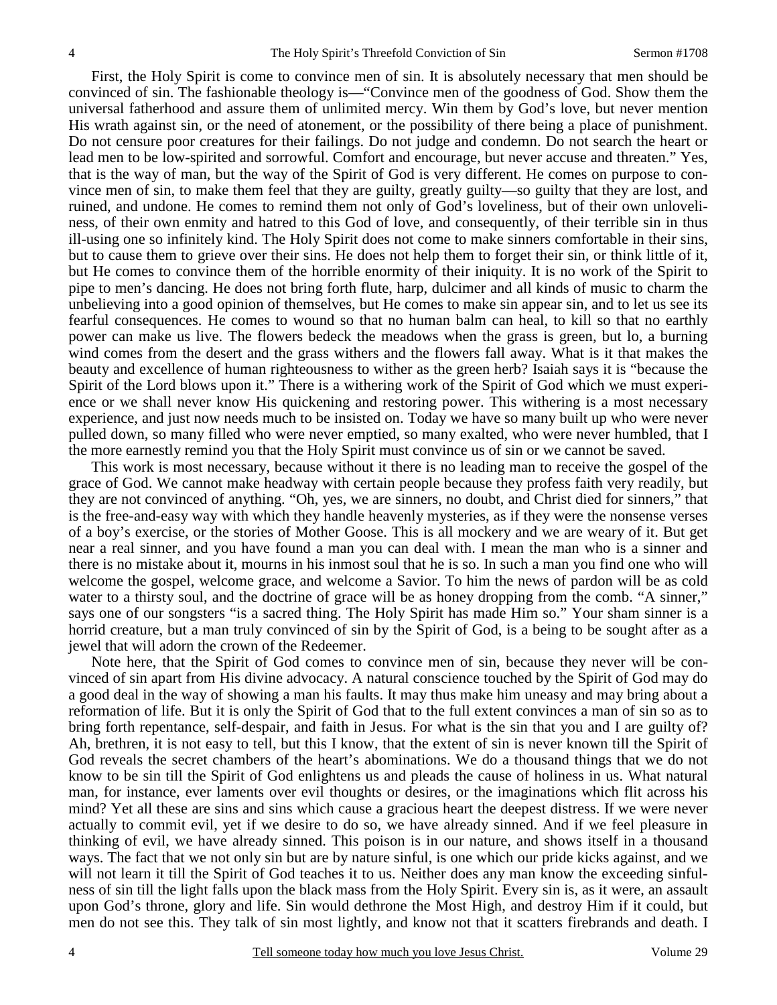First, the Holy Spirit is come to convince men of sin. It is absolutely necessary that men should be convinced of sin. The fashionable theology is—"Convince men of the goodness of God. Show them the universal fatherhood and assure them of unlimited mercy. Win them by God's love, but never mention His wrath against sin, or the need of atonement, or the possibility of there being a place of punishment. Do not censure poor creatures for their failings. Do not judge and condemn. Do not search the heart or lead men to be low-spirited and sorrowful. Comfort and encourage, but never accuse and threaten." Yes, that is the way of man, but the way of the Spirit of God is very different. He comes on purpose to convince men of sin, to make them feel that they are guilty, greatly guilty—so guilty that they are lost, and ruined, and undone. He comes to remind them not only of God's loveliness, but of their own unloveliness, of their own enmity and hatred to this God of love, and consequently, of their terrible sin in thus ill-using one so infinitely kind. The Holy Spirit does not come to make sinners comfortable in their sins, but to cause them to grieve over their sins. He does not help them to forget their sin, or think little of it, but He comes to convince them of the horrible enormity of their iniquity. It is no work of the Spirit to pipe to men's dancing. He does not bring forth flute, harp, dulcimer and all kinds of music to charm the unbelieving into a good opinion of themselves, but He comes to make sin appear sin, and to let us see its fearful consequences. He comes to wound so that no human balm can heal, to kill so that no earthly power can make us live. The flowers bedeck the meadows when the grass is green, but lo, a burning wind comes from the desert and the grass withers and the flowers fall away. What is it that makes the beauty and excellence of human righteousness to wither as the green herb? Isaiah says it is "because the Spirit of the Lord blows upon it." There is a withering work of the Spirit of God which we must experience or we shall never know His quickening and restoring power. This withering is a most necessary experience, and just now needs much to be insisted on. Today we have so many built up who were never pulled down, so many filled who were never emptied, so many exalted, who were never humbled, that I the more earnestly remind you that the Holy Spirit must convince us of sin or we cannot be saved.

 This work is most necessary, because without it there is no leading man to receive the gospel of the grace of God. We cannot make headway with certain people because they profess faith very readily, but they are not convinced of anything. "Oh, yes, we are sinners, no doubt, and Christ died for sinners," that is the free-and-easy way with which they handle heavenly mysteries, as if they were the nonsense verses of a boy's exercise, or the stories of Mother Goose. This is all mockery and we are weary of it. But get near a real sinner, and you have found a man you can deal with. I mean the man who is a sinner and there is no mistake about it, mourns in his inmost soul that he is so. In such a man you find one who will welcome the gospel, welcome grace, and welcome a Savior. To him the news of pardon will be as cold water to a thirsty soul, and the doctrine of grace will be as honey dropping from the comb. "A sinner," says one of our songsters "is a sacred thing. The Holy Spirit has made Him so." Your sham sinner is a horrid creature, but a man truly convinced of sin by the Spirit of God, is a being to be sought after as a jewel that will adorn the crown of the Redeemer.

 Note here, that the Spirit of God comes to convince men of sin, because they never will be convinced of sin apart from His divine advocacy. A natural conscience touched by the Spirit of God may do a good deal in the way of showing a man his faults. It may thus make him uneasy and may bring about a reformation of life. But it is only the Spirit of God that to the full extent convinces a man of sin so as to bring forth repentance, self-despair, and faith in Jesus. For what is the sin that you and I are guilty of? Ah, brethren, it is not easy to tell, but this I know, that the extent of sin is never known till the Spirit of God reveals the secret chambers of the heart's abominations. We do a thousand things that we do not know to be sin till the Spirit of God enlightens us and pleads the cause of holiness in us. What natural man, for instance, ever laments over evil thoughts or desires, or the imaginations which flit across his mind? Yet all these are sins and sins which cause a gracious heart the deepest distress. If we were never actually to commit evil, yet if we desire to do so, we have already sinned. And if we feel pleasure in thinking of evil, we have already sinned. This poison is in our nature, and shows itself in a thousand ways. The fact that we not only sin but are by nature sinful, is one which our pride kicks against, and we will not learn it till the Spirit of God teaches it to us. Neither does any man know the exceeding sinfulness of sin till the light falls upon the black mass from the Holy Spirit. Every sin is, as it were, an assault upon God's throne, glory and life. Sin would dethrone the Most High, and destroy Him if it could, but men do not see this. They talk of sin most lightly, and know not that it scatters firebrands and death. I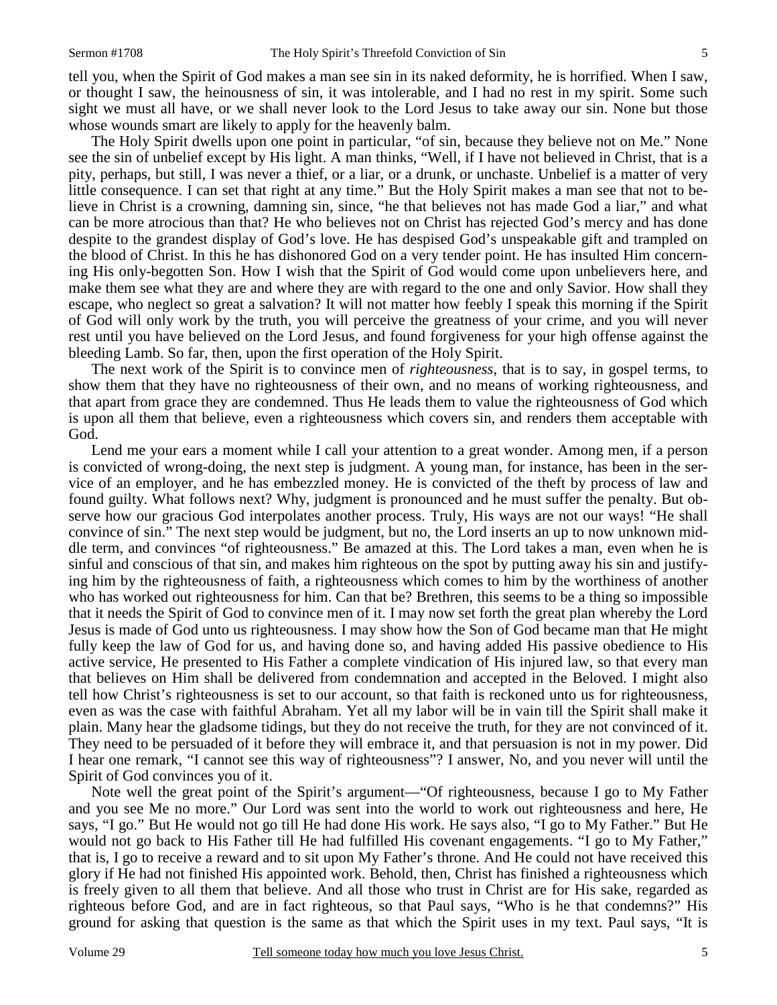tell you, when the Spirit of God makes a man see sin in its naked deformity, he is horrified. When I saw, or thought I saw, the heinousness of sin, it was intolerable, and I had no rest in my spirit. Some such sight we must all have, or we shall never look to the Lord Jesus to take away our sin. None but those whose wounds smart are likely to apply for the heavenly balm.

 The Holy Spirit dwells upon one point in particular, "of sin, because they believe not on Me." None see the sin of unbelief except by His light. A man thinks, "Well, if I have not believed in Christ, that is a pity, perhaps, but still, I was never a thief, or a liar, or a drunk, or unchaste. Unbelief is a matter of very little consequence. I can set that right at any time." But the Holy Spirit makes a man see that not to believe in Christ is a crowning, damning sin, since, "he that believes not has made God a liar," and what can be more atrocious than that? He who believes not on Christ has rejected God's mercy and has done despite to the grandest display of God's love. He has despised God's unspeakable gift and trampled on the blood of Christ. In this he has dishonored God on a very tender point. He has insulted Him concerning His only-begotten Son. How I wish that the Spirit of God would come upon unbelievers here, and make them see what they are and where they are with regard to the one and only Savior. How shall they escape, who neglect so great a salvation? It will not matter how feebly I speak this morning if the Spirit of God will only work by the truth, you will perceive the greatness of your crime, and you will never rest until you have believed on the Lord Jesus, and found forgiveness for your high offense against the bleeding Lamb. So far, then, upon the first operation of the Holy Spirit.

 The next work of the Spirit is to convince men of *righteousness*, that is to say, in gospel terms, to show them that they have no righteousness of their own, and no means of working righteousness, and that apart from grace they are condemned. Thus He leads them to value the righteousness of God which is upon all them that believe, even a righteousness which covers sin, and renders them acceptable with God.

 Lend me your ears a moment while I call your attention to a great wonder. Among men, if a person is convicted of wrong-doing, the next step is judgment. A young man, for instance, has been in the service of an employer, and he has embezzled money. He is convicted of the theft by process of law and found guilty. What follows next? Why, judgment is pronounced and he must suffer the penalty. But observe how our gracious God interpolates another process. Truly, His ways are not our ways! "He shall convince of sin." The next step would be judgment, but no, the Lord inserts an up to now unknown middle term, and convinces "of righteousness." Be amazed at this. The Lord takes a man, even when he is sinful and conscious of that sin, and makes him righteous on the spot by putting away his sin and justifying him by the righteousness of faith, a righteousness which comes to him by the worthiness of another who has worked out righteousness for him. Can that be? Brethren, this seems to be a thing so impossible that it needs the Spirit of God to convince men of it. I may now set forth the great plan whereby the Lord Jesus is made of God unto us righteousness. I may show how the Son of God became man that He might fully keep the law of God for us, and having done so, and having added His passive obedience to His active service, He presented to His Father a complete vindication of His injured law, so that every man that believes on Him shall be delivered from condemnation and accepted in the Beloved. I might also tell how Christ's righteousness is set to our account, so that faith is reckoned unto us for righteousness, even as was the case with faithful Abraham. Yet all my labor will be in vain till the Spirit shall make it plain. Many hear the gladsome tidings, but they do not receive the truth, for they are not convinced of it. They need to be persuaded of it before they will embrace it, and that persuasion is not in my power. Did I hear one remark, "I cannot see this way of righteousness"? I answer, No, and you never will until the Spirit of God convinces you of it.

 Note well the great point of the Spirit's argument—"Of righteousness, because I go to My Father and you see Me no more." Our Lord was sent into the world to work out righteousness and here, He says, "I go." But He would not go till He had done His work. He says also, "I go to My Father." But He would not go back to His Father till He had fulfilled His covenant engagements. "I go to My Father," that is, I go to receive a reward and to sit upon My Father's throne. And He could not have received this glory if He had not finished His appointed work. Behold, then, Christ has finished a righteousness which is freely given to all them that believe. And all those who trust in Christ are for His sake, regarded as righteous before God, and are in fact righteous, so that Paul says, "Who is he that condemns?" His ground for asking that question is the same as that which the Spirit uses in my text. Paul says, "It is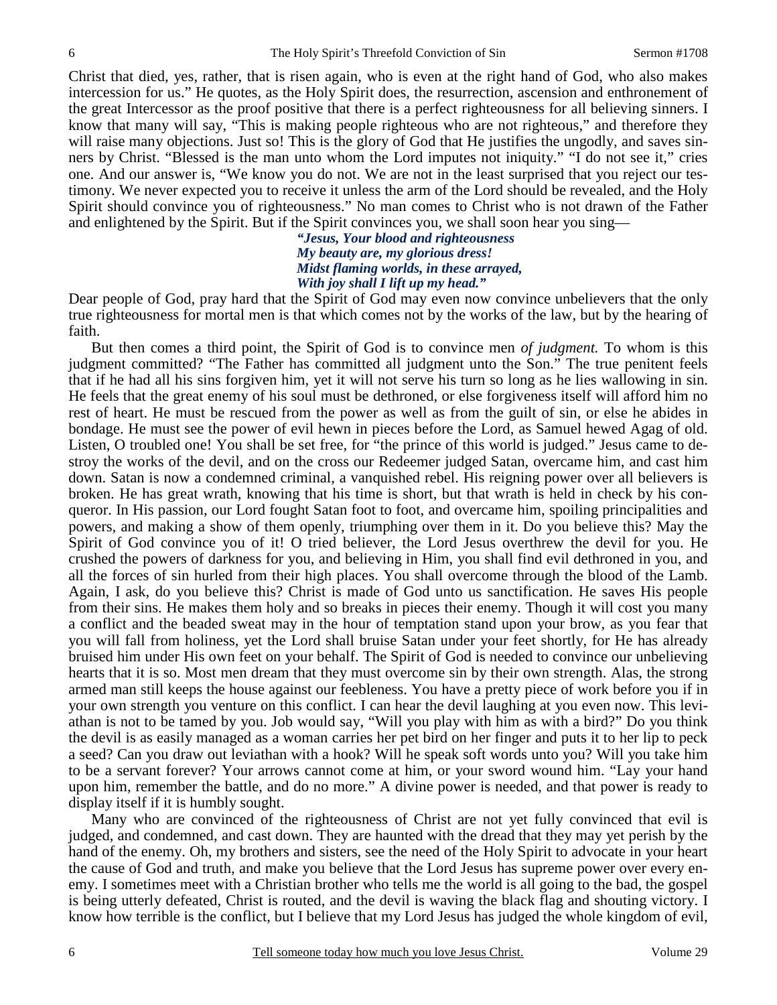Christ that died, yes, rather, that is risen again, who is even at the right hand of God, who also makes intercession for us." He quotes, as the Holy Spirit does, the resurrection, ascension and enthronement of the great Intercessor as the proof positive that there is a perfect righteousness for all believing sinners. I know that many will say, "This is making people righteous who are not righteous," and therefore they will raise many objections. Just so! This is the glory of God that He justifies the ungodly, and saves sinners by Christ. "Blessed is the man unto whom the Lord imputes not iniquity." "I do not see it," cries one. And our answer is, "We know you do not. We are not in the least surprised that you reject our testimony. We never expected you to receive it unless the arm of the Lord should be revealed, and the Holy Spirit should convince you of righteousness." No man comes to Christ who is not drawn of the Father and enlightened by the Spirit. But if the Spirit convinces you, we shall soon hear you sing—

> *"Jesus, Your blood and righteousness My beauty are, my glorious dress! Midst flaming worlds, in these arrayed, With joy shall I lift up my head."*

Dear people of God, pray hard that the Spirit of God may even now convince unbelievers that the only true righteousness for mortal men is that which comes not by the works of the law, but by the hearing of faith.

 But then comes a third point, the Spirit of God is to convince men *of judgment.* To whom is this judgment committed? "The Father has committed all judgment unto the Son." The true penitent feels that if he had all his sins forgiven him, yet it will not serve his turn so long as he lies wallowing in sin. He feels that the great enemy of his soul must be dethroned, or else forgiveness itself will afford him no rest of heart. He must be rescued from the power as well as from the guilt of sin, or else he abides in bondage. He must see the power of evil hewn in pieces before the Lord, as Samuel hewed Agag of old. Listen, O troubled one! You shall be set free, for "the prince of this world is judged." Jesus came to destroy the works of the devil, and on the cross our Redeemer judged Satan, overcame him, and cast him down. Satan is now a condemned criminal, a vanquished rebel. His reigning power over all believers is broken. He has great wrath, knowing that his time is short, but that wrath is held in check by his conqueror. In His passion, our Lord fought Satan foot to foot, and overcame him, spoiling principalities and powers, and making a show of them openly, triumphing over them in it. Do you believe this? May the Spirit of God convince you of it! O tried believer, the Lord Jesus overthrew the devil for you. He crushed the powers of darkness for you, and believing in Him, you shall find evil dethroned in you, and all the forces of sin hurled from their high places. You shall overcome through the blood of the Lamb. Again, I ask, do you believe this? Christ is made of God unto us sanctification. He saves His people from their sins. He makes them holy and so breaks in pieces their enemy. Though it will cost you many a conflict and the beaded sweat may in the hour of temptation stand upon your brow, as you fear that you will fall from holiness, yet the Lord shall bruise Satan under your feet shortly, for He has already bruised him under His own feet on your behalf. The Spirit of God is needed to convince our unbelieving hearts that it is so. Most men dream that they must overcome sin by their own strength. Alas, the strong armed man still keeps the house against our feebleness. You have a pretty piece of work before you if in your own strength you venture on this conflict. I can hear the devil laughing at you even now. This leviathan is not to be tamed by you. Job would say, "Will you play with him as with a bird?" Do you think the devil is as easily managed as a woman carries her pet bird on her finger and puts it to her lip to peck a seed? Can you draw out leviathan with a hook? Will he speak soft words unto you? Will you take him to be a servant forever? Your arrows cannot come at him, or your sword wound him. "Lay your hand upon him, remember the battle, and do no more." A divine power is needed, and that power is ready to display itself if it is humbly sought.

 Many who are convinced of the righteousness of Christ are not yet fully convinced that evil is judged, and condemned, and cast down. They are haunted with the dread that they may yet perish by the hand of the enemy. Oh, my brothers and sisters, see the need of the Holy Spirit to advocate in your heart the cause of God and truth, and make you believe that the Lord Jesus has supreme power over every enemy. I sometimes meet with a Christian brother who tells me the world is all going to the bad, the gospel is being utterly defeated, Christ is routed, and the devil is waving the black flag and shouting victory. I know how terrible is the conflict, but I believe that my Lord Jesus has judged the whole kingdom of evil,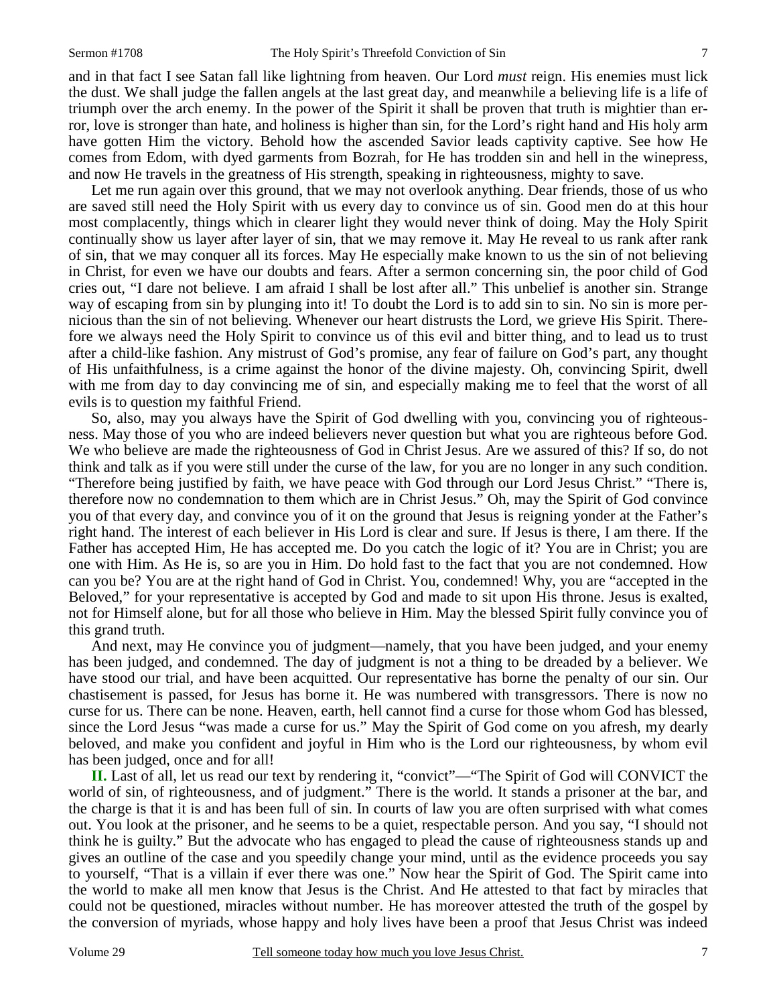and in that fact I see Satan fall like lightning from heaven. Our Lord *must* reign. His enemies must lick the dust. We shall judge the fallen angels at the last great day, and meanwhile a believing life is a life of triumph over the arch enemy. In the power of the Spirit it shall be proven that truth is mightier than error, love is stronger than hate, and holiness is higher than sin, for the Lord's right hand and His holy arm have gotten Him the victory. Behold how the ascended Savior leads captivity captive. See how He comes from Edom, with dyed garments from Bozrah, for He has trodden sin and hell in the winepress, and now He travels in the greatness of His strength, speaking in righteousness, mighty to save.

 Let me run again over this ground, that we may not overlook anything. Dear friends, those of us who are saved still need the Holy Spirit with us every day to convince us of sin. Good men do at this hour most complacently, things which in clearer light they would never think of doing. May the Holy Spirit continually show us layer after layer of sin, that we may remove it. May He reveal to us rank after rank of sin, that we may conquer all its forces. May He especially make known to us the sin of not believing in Christ, for even we have our doubts and fears. After a sermon concerning sin, the poor child of God cries out, "I dare not believe. I am afraid I shall be lost after all." This unbelief is another sin. Strange way of escaping from sin by plunging into it! To doubt the Lord is to add sin to sin. No sin is more pernicious than the sin of not believing. Whenever our heart distrusts the Lord, we grieve His Spirit. Therefore we always need the Holy Spirit to convince us of this evil and bitter thing, and to lead us to trust after a child-like fashion. Any mistrust of God's promise, any fear of failure on God's part, any thought of His unfaithfulness, is a crime against the honor of the divine majesty. Oh, convincing Spirit, dwell with me from day to day convincing me of sin, and especially making me to feel that the worst of all evils is to question my faithful Friend.

 So, also, may you always have the Spirit of God dwelling with you, convincing you of righteousness. May those of you who are indeed believers never question but what you are righteous before God. We who believe are made the righteousness of God in Christ Jesus. Are we assured of this? If so, do not think and talk as if you were still under the curse of the law, for you are no longer in any such condition. "Therefore being justified by faith, we have peace with God through our Lord Jesus Christ." "There is, therefore now no condemnation to them which are in Christ Jesus." Oh, may the Spirit of God convince you of that every day, and convince you of it on the ground that Jesus is reigning yonder at the Father's right hand. The interest of each believer in His Lord is clear and sure. If Jesus is there, I am there. If the Father has accepted Him, He has accepted me. Do you catch the logic of it? You are in Christ; you are one with Him. As He is, so are you in Him. Do hold fast to the fact that you are not condemned. How can you be? You are at the right hand of God in Christ. You, condemned! Why, you are "accepted in the Beloved," for your representative is accepted by God and made to sit upon His throne. Jesus is exalted, not for Himself alone, but for all those who believe in Him. May the blessed Spirit fully convince you of this grand truth.

 And next, may He convince you of judgment—namely, that you have been judged, and your enemy has been judged, and condemned. The day of judgment is not a thing to be dreaded by a believer. We have stood our trial, and have been acquitted. Our representative has borne the penalty of our sin. Our chastisement is passed, for Jesus has borne it. He was numbered with transgressors. There is now no curse for us. There can be none. Heaven, earth, hell cannot find a curse for those whom God has blessed, since the Lord Jesus "was made a curse for us." May the Spirit of God come on you afresh, my dearly beloved, and make you confident and joyful in Him who is the Lord our righteousness, by whom evil has been judged, once and for all!

 **II.** Last of all, let us read our text by rendering it, "convict"—"The Spirit of God will CONVICT the world of sin, of righteousness, and of judgment." There is the world. It stands a prisoner at the bar, and the charge is that it is and has been full of sin. In courts of law you are often surprised with what comes out. You look at the prisoner, and he seems to be a quiet, respectable person. And you say, "I should not think he is guilty." But the advocate who has engaged to plead the cause of righteousness stands up and gives an outline of the case and you speedily change your mind, until as the evidence proceeds you say to yourself, "That is a villain if ever there was one." Now hear the Spirit of God. The Spirit came into the world to make all men know that Jesus is the Christ. And He attested to that fact by miracles that could not be questioned, miracles without number. He has moreover attested the truth of the gospel by the conversion of myriads, whose happy and holy lives have been a proof that Jesus Christ was indeed